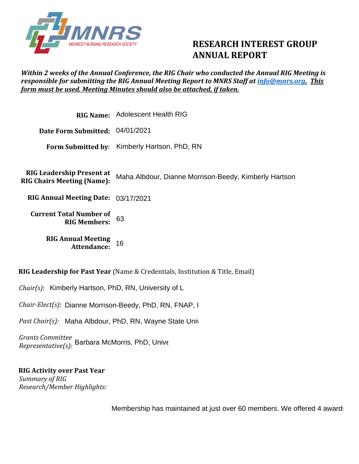

## **RESEARCH INTEREST GROUP ANNUAL REPORT**

## *Within 2 weeks of the Annual Conference, the RIG Chair who conducted the Annual RIG Meeting is responsible for submitting the RIG Annual Meeting Report to MNRS Staff at [info@mnrs.org.](mailto:info@mnrs.org) This form must be used. Meeting Minutes should also be attached, if taken.*

|                                                                       | RIG Name: Adolescent Health RIG                       |
|-----------------------------------------------------------------------|-------------------------------------------------------|
| Date Form Submitted: 04/01/2021                                       |                                                       |
|                                                                       | Form Submitted by: Kimberly Hartson, PhD, RN          |
|                                                                       |                                                       |
| <b>RIG Leadership Present at</b><br><b>RIG Chairs Meeting (Name):</b> | Maha Albdour, Dianne Morrison-Beedy, Kimberly Hartson |
| RIG Annual Meeting Date: 03/17/2021                                   |                                                       |
| <b>Current Total Number of</b><br><b>RIG Members:</b>                 | 63                                                    |
| <b>RIG Annual Meeting</b><br><b>Attendance:</b>                       | 16                                                    |

**RIG Leadership for Past Year** (Name & Credentials, Institution & Title, Email)

*Chair(s):* Kimberly Hartson, PhD, RN, University of Louisville, Assistant Professor, Assistant Professor, Assistant Professor, Assistant Professor, Assistant Professor, Assistant Professor, Assistant Professor, Assistant

Chair-Elect(s): Dianne Morrison-Beedy, PhD, RN, FNAP, I

*Past Chair(s):* Maha Albdour, PhD, RN, Wayne State University, Assistant Professor, Assistant Professor, et al.

*Grants Committee Representative(s):* Barbara McMorris, PhD, University of Minnesotal Minnesota, Associative Professor, many and  $Representative(s)$ :

**RIG Activity over Past Year**  *Summary of RIG Research/Member Highlights:* 

Membership has maintained at just over 60 members. We offered 4 award: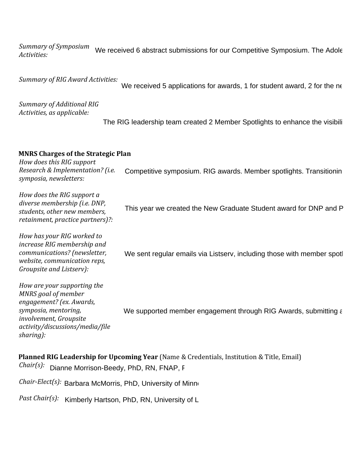*Summary of Symposium Activities:*  We received 6 abstract submissions for our Competitive Symposium. The Adole

*Summary of RIG Award Activities:* 

We received 5 applications for awards, 1 for student award, 2 for the ne

*Summary of Additional RIG Activities, as applicable:*

The RIG leadership team created 2 Member Spotlights to enhance the visibili

## **MNRS Charges of the Strategic Plan**

*How does this RIG support Research & Implementation? (i.e. symposia, newsletters:*

*How does the RIG support a diverse membership (i.e. DNP, students, other new members, retainment, practice partners)?:* Competitive symposium. RIG awards. Member spotlights. Transitionin<br>This year we created the New Graduate Student award for DNP and P<br>We sent regular emails via Listserv, including those with member spotl

*How has your RIG worked to increase RIG membership and communications? (newsletter, website, communication reps, Groupsite and Listserv):*

*How are your supporting the MNRS goal of member engagement? (ex. Awards, symposia, mentoring, involvement, Groupsite activity/discussions/media/file sharing):* We supported member engagement through RIG Awards, submitting a

**Planned RIG Leadership for Upcoming Year** (Name & Credentials, Institution & Title, Email) Chair(s): Dianne Morrison-Beedy, PhD, RN, FNAP, F

*Chair-Elect(s):* Barbara McMorris, PhD, University of Minnesotal Association Professor, and the Professor, man

*Past Chair(s):* Kimberly Hartson, PhD, RN, University of L